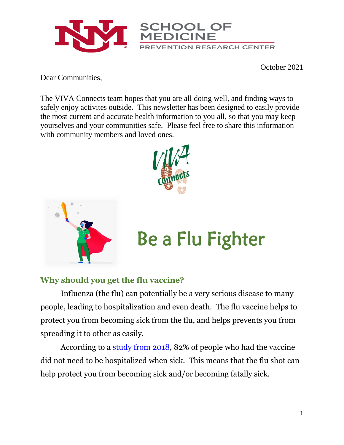

October 2021

Dear Communities,

The VIVA Connects team hopes that you are all doing well, and finding ways to safely enjoy activites outside. This newsletter has been designed to easily provide the most current and accurate health information to you all, so that you may keep yourselves and your communities safe. Please feel free to share this information with community members and loved ones.





# Be a Flu Fighter

### **Why should you get the flu vaccine?**

Influenza (the flu) can potentially be a very serious disease to many people, leading to hospitalization and even death. The flu vaccine helps to protect you from becoming sick from the flu, and helps prevents you from spreading it to other as easily.

According to a [study from 2018,](https://www.cdc.gov/flu/prevent/keyfacts.htm) 82% of people who had the vaccine did not need to be hospitalized when sick. This means that the flu shot can help protect you from becoming sick and/or becoming fatally sick.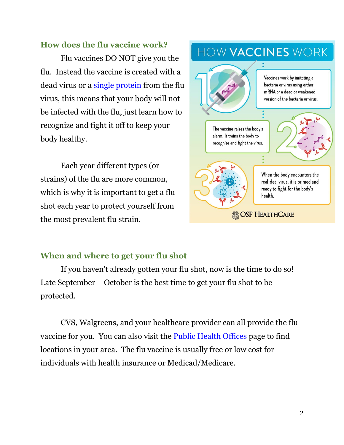#### **How does the flu vaccine work?**

Flu vaccines DO NOT give you the flu. Instead the vaccine is created with a dead virus or a [single protein](https://www.cdc.gov/flu/prevent/how-fluvaccine-made.htm#recombinant) from the flu virus, this means that your body will not be infected with the flu, just learn how to recognize and fight it off to keep your body healthy.

Each year different types (or strains) of the flu are more common, which is why it is important to get a flu shot each year to protect yourself from the most prevalent flu strain.



#### **When and where to get your flu shot**

If you haven't already gotten your flu shot, now is the time to do so! Late September – October is the best time to get your flu shot to be protected.

CVS, Walgreens, and your healthcare provider can all provide the flu vaccine for you. You can also visit the **[Public Health Offices](https://www.nmhealth.org/location/public/)** page to find locations in your area. The flu vaccine is usually free or low cost for individuals with health insurance or Medicad/Medicare.